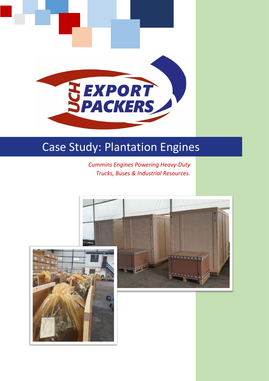

## Case Study: Plantation Engines

*Cummins Engines Powering Heavy-Duty Trucks, Buses & Industrial Resources.*